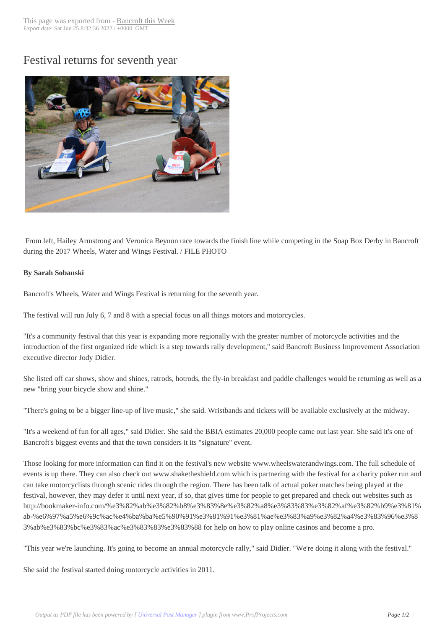## Festival returns for [seventh year](http://www.bancroftthisweek.com/?p=9249)



From left, Hailey Armstrong and Veronica Beynon race towards the finish line while competing in the Soap Box Derby in Bancroft during the 2017 Wheels, Water and Wings Festival. / FILE PHOTO

## **By Sarah Sobanski**

Bancroft's Wheels, Water and Wings Festival is returning for the seventh year.

The festival will run July 6, 7 and 8 with a special focus on all things motors and motorcycles.

"It's a community festival that this year is expanding more regionally with the greater number of motorcycle activities and the introduction of the first organized ride which is a step towards rally development," said Bancroft Business Improvement Association executive director Jody Didier.

She listed off car shows, show and shines, ratrods, hotrods, the fly-in breakfast and paddle challenges would be returning as well as a new "bring your bicycle show and shine."

"There's going to be a bigger line-up of live music," she said. Wristbands and tickets will be available exclusively at the midway.

"It's a weekend of fun for all ages," said Didier. She said the BBIA estimates 20,000 people came out last year. She said it's one of Bancroft's biggest events and that the town considers it its "signature" event.

Those looking for more information can find it on the festival's new website www.wheelswaterandwings.com. The full schedule of events is up there. They can also check out www.shaketheshield.com which is partnering with the festival for a charity poker run and can take motorcyclists through scenic rides through the region. There has been talk of actual poker matches being played at the festival, however, they may defer it until next year, if so, that gives time for people to get prepared and check out websites such as http://bookmaker-info.com/%e3%82%ab%e3%82%b8%e3%83%8e%e3%82%a8%e3%83%83%e3%82%af%e3%82%b9%e3%81% ab-%e6%97%a5%e6%9c%ac%e4%ba%ba%e5%90%91%e3%81%91%e3%81%ae%e3%83%a9%e3%82%a4%e3%83%96%e3%8 3%ab%e3%83%bc%e3%83%ac%e3%83%83%e3%83%88 for help on how to play online casinos and become a pro.

"This year we're launching. It's going to become an annual motorcycle rally," said Didier. "We're doing it along with the festival."

She said the festival started doing motorcycle activities in 2011.